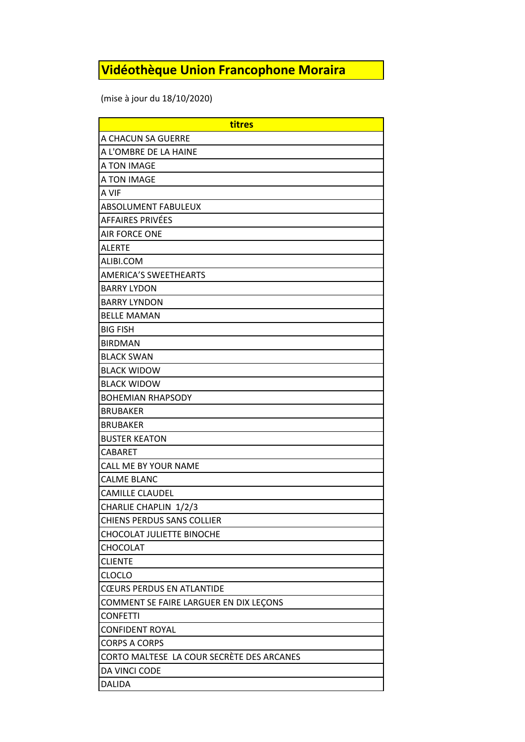## **Vidéothèque Union Francophone Moraira**

(mise à jour du 18/10/2020)

| titres                                    |
|-------------------------------------------|
| A CHACUN SA GUERRE                        |
| A L'OMBRE DE LA HAINE                     |
| A TON IMAGE                               |
| A TON IMAGE                               |
| A VIF                                     |
| <b>ABSOLUMENT FABULEUX</b>                |
| <b>AFFAIRES PRIVÉES</b>                   |
| AIR FORCE ONE                             |
| <b>ALERTE</b>                             |
| ALIBI.COM                                 |
| <b>AMERICA'S SWEETHEARTS</b>              |
| <b>BARRY LYDON</b>                        |
| <b>BARRY LYNDON</b>                       |
| <b>BELLE MAMAN</b>                        |
| <b>BIG FISH</b>                           |
| <b>BIRDMAN</b>                            |
| <b>BLACK SWAN</b>                         |
| <b>BLACK WIDOW</b>                        |
| <b>BLACK WIDOW</b>                        |
| <b>BOHEMIAN RHAPSODY</b>                  |
| <b>BRUBAKER</b>                           |
| <b>BRUBAKER</b>                           |
| <b>BUSTER KEATON</b>                      |
| <b>CABARET</b>                            |
| CALL ME BY YOUR NAME                      |
| <b>CALME BLANC</b>                        |
| <b>CAMILLE CLAUDEL</b>                    |
| CHARLIE CHAPLIN 1/2/3                     |
| <b>CHIENS PERDUS SANS COLLIER</b>         |
| CHOCOLAT JULIETTE BINOCHE                 |
| CHOCOLAT                                  |
| <b>CLIENTE</b>                            |
| <b>CLOCLO</b>                             |
| <b>CŒURS PERDUS EN ATLANTIDE</b>          |
| COMMENT SE FAIRE LARGUER EN DIX LEÇONS    |
| <b>CONFETTI</b>                           |
| <b>CONFIDENT ROYAL</b>                    |
| <b>CORPS A CORPS</b>                      |
| CORTO MALTESE LA COUR SECRÈTE DES ARCANES |
| DA VINCI CODE                             |
| <b>DALIDA</b>                             |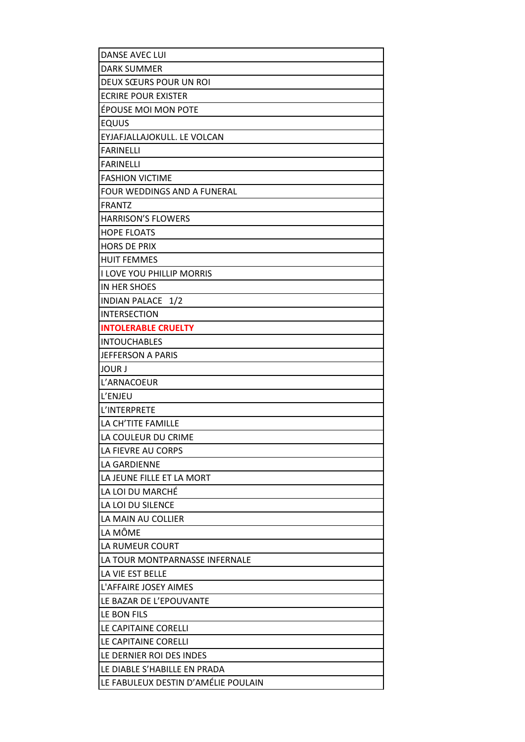| <b>DANSE AVEC LUI</b>               |
|-------------------------------------|
| <b>DARK SUMMER</b>                  |
| DEUX SŒURS POUR UN ROI              |
| <b>ECRIRE POUR EXISTER</b>          |
| ÉPOUSE MOI MON POTE                 |
| <b>EQUUS</b>                        |
| EYJAFJALLAJOKULL. LE VOLCAN         |
| <b>FARINELLI</b>                    |
| <b>FARINELLI</b>                    |
| <b>FASHION VICTIME</b>              |
| FOUR WEDDINGS AND A FUNERAL         |
| <b>FRANTZ</b>                       |
| <b>HARRISON'S FLOWERS</b>           |
| <b>HOPE FLOATS</b>                  |
| <b>HORS DE PRIX</b>                 |
| <b>HUIT FEMMES</b>                  |
| <b>I LOVE YOU PHILLIP MORRIS</b>    |
| <b>IN HER SHOES</b>                 |
| INDIAN PALACE 1/2                   |
| <b>INTERSECTION</b>                 |
| <b>INTOLERABLE CRUELTY</b>          |
| <b>INTOUCHABLES</b>                 |
| <b>JEFFERSON A PARIS</b>            |
| <b>JOUR J</b>                       |
| L'ARNACOEUR                         |
| L'ENJEU                             |
| L'INTERPRETE                        |
| LA CH'TITE FAMILLE                  |
| LA COULEUR DU CRIME                 |
| LA FIEVRE AU CORPS                  |
| LA GARDIENNE                        |
| LA JEUNE FILLE ET LA MORT           |
| LA LOI DU MARCHÉ                    |
| LA LOI DU SILENCE                   |
| LA MAIN AU COLLIER                  |
| LA MÔME                             |
| LA RUMEUR COURT                     |
| LA TOUR MONTPARNASSE INFERNALE      |
| LA VIE EST BELLE                    |
| L'AFFAIRE JOSEY AIMES               |
| LE BAZAR DE L'EPOUVANTE             |
| LE BON FILS                         |
| LE CAPITAINE CORELLI                |
| LE CAPITAINE CORELLI                |
| LE DERNIER ROI DES INDES            |
| LE DIABLE S'HABILLE EN PRADA        |
| LE FABULEUX DESTIN D'AMÉLIE POULAIN |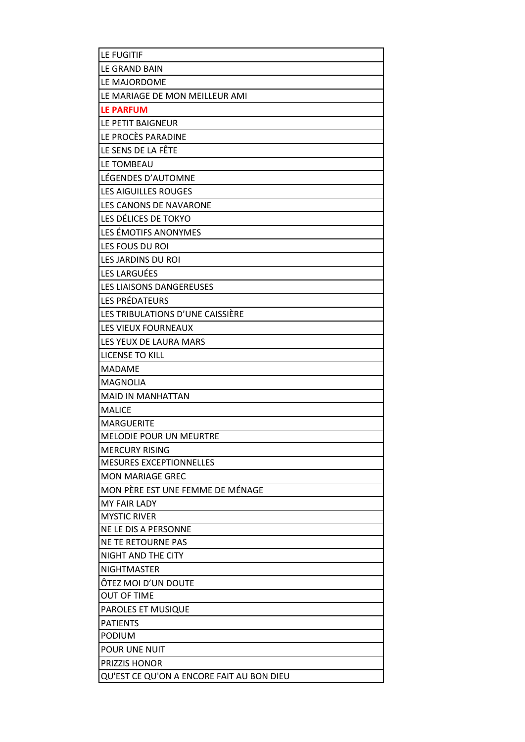| <b>LE FUGITIF</b>                         |
|-------------------------------------------|
| LE GRAND BAIN                             |
| LE MAJORDOME                              |
| LE MARIAGE DE MON MEILLEUR AMI            |
| <b>LE PARFUM</b>                          |
| LE PETIT BAIGNEUR                         |
| LE PROCÈS PARADINE                        |
| LE SENS DE LA FÊTE                        |
| LE TOMBEAU                                |
| LÉGENDES D'AUTOMNE                        |
| <b>LES AIGUILLES ROUGES</b>               |
| LES CANONS DE NAVARONE                    |
| LES DÉLICES DE TOKYO                      |
| LES ÉMOTIFS ANONYMES                      |
| LES FOUS DU ROI                           |
| LES JARDINS DU ROI                        |
| LES LARGUÉES                              |
| LES LIAISONS DANGEREUSES                  |
| <b>LES PRÉDATEURS</b>                     |
| LES TRIBULATIONS D'UNE CAISSIÈRE          |
| LES VIEUX FOURNEAUX                       |
| LES YEUX DE LAURA MARS                    |
| LICENSE TO KILL                           |
| <b>MADAME</b>                             |
| <b>MAGNOLIA</b>                           |
| <b>MAID IN MANHATTAN</b>                  |
| <b>MALICE</b>                             |
| <b>MARGUERITE</b>                         |
| MELODIE POUR UN MEURTRE                   |
| <b>MERCURY RISING</b>                     |
| <b>MESURES EXCEPTIONNELLES</b>            |
| <b>MON MARIAGE GREC</b>                   |
| MON PÈRE EST UNE FEMME DE MÉNAGE          |
| <b>MY FAIR LADY</b>                       |
| <b>MYSTIC RIVER</b>                       |
| NE LE DIS A PERSONNE                      |
| NE TE RETOURNE PAS                        |
| NIGHT AND THE CITY                        |
| <b>NIGHTMASTER</b>                        |
| ÖTEZ MOI D'UN DOUTE                       |
| <b>OUT OF TIME</b>                        |
| PAROLES ET MUSIQUE                        |
| <b>PATIENTS</b>                           |
| <b>PODIUM</b>                             |
| POUR UNE NUIT                             |
| <b>PRIZZIS HONOR</b>                      |
| QU'EST CE QU'ON A ENCORE FAIT AU BON DIEU |